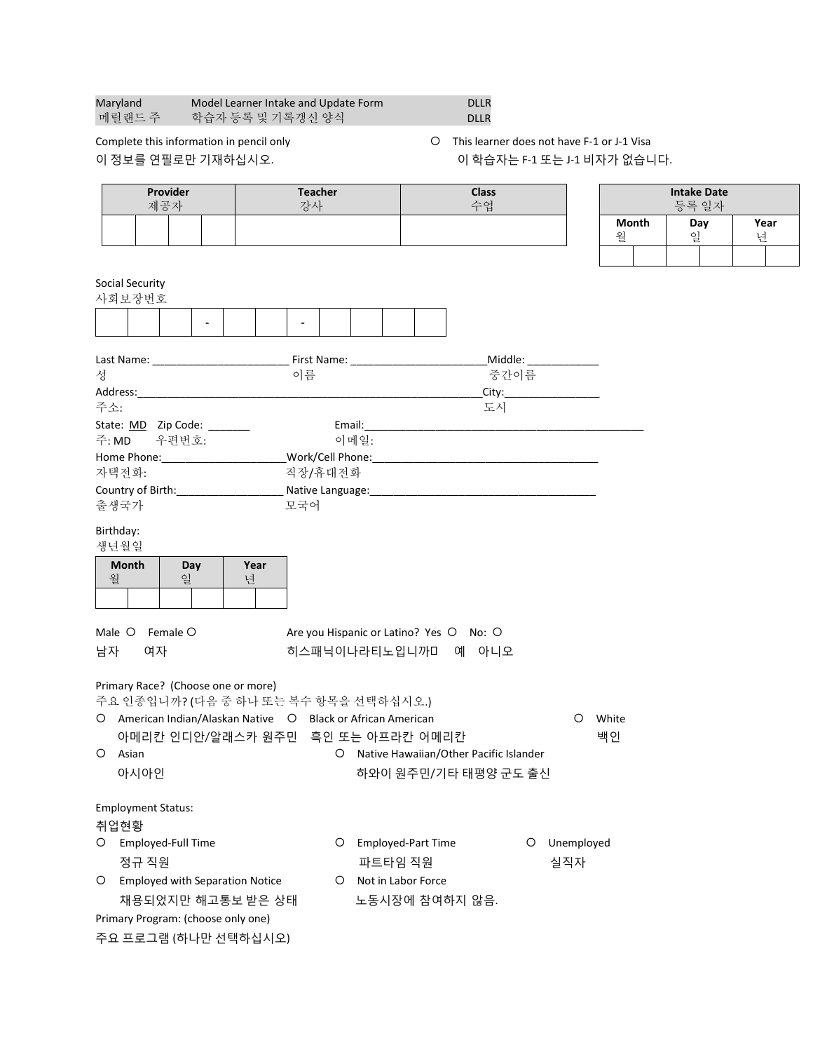| Maryland | Model Learner Intake and Update Form | <b>DLLR</b> |
|----------|--------------------------------------|-------------|
| 메릴랜드 주   | 학습자 등록 및 기록갱신 양식                     | <b>DLLR</b> |
|          |                                      |             |

Complete this information in pencil only **This learner does not have F-1 or J-1 Visa** 이 정보를 연필로만 기재하십시오. 이 아주 아이 학습자는 F-1 또는 J-1 비자가 없습니다.

| Provider<br>제공자                                                                                       |      | <b>Teacher</b><br>강사 |                                         | <b>Class</b><br>수업                       |   |            |         |              | <b>Intake Date</b><br>등록 일자 |      |
|-------------------------------------------------------------------------------------------------------|------|----------------------|-----------------------------------------|------------------------------------------|---|------------|---------|--------------|-----------------------------|------|
|                                                                                                       |      |                      |                                         |                                          |   |            |         | <b>Month</b> | Day                         | Year |
|                                                                                                       |      |                      |                                         |                                          |   |            | 월       |              | 일                           | 년    |
|                                                                                                       |      |                      |                                         |                                          |   |            |         |              |                             |      |
| <b>Social Security</b><br>사회보장번호                                                                      |      |                      |                                         |                                          |   |            |         |              |                             |      |
|                                                                                                       |      |                      |                                         |                                          |   |            |         |              |                             |      |
|                                                                                                       |      |                      |                                         |                                          |   |            |         |              |                             |      |
|                                                                                                       |      |                      |                                         |                                          |   |            |         |              |                             |      |
| 성                                                                                                     | 이름   |                      |                                         | 중간이름                                     |   |            |         |              |                             |      |
|                                                                                                       |      |                      |                                         |                                          |   | City:      |         |              |                             |      |
| 주소:                                                                                                   |      |                      |                                         | 도시                                       |   |            |         |              |                             |      |
| State: MD Zip Code: ______                                                                            |      |                      |                                         |                                          |   |            |         |              |                             |      |
| 주:MD 우편번호:                                                                                            |      | 이메일:                 |                                         |                                          |   |            |         |              |                             |      |
| Home Phone:_________________________Work/Cell Phone:_____________________________<br>자택전화:            |      | 직장/휴대전화              |                                         |                                          |   |            |         |              |                             |      |
|                                                                                                       |      |                      |                                         |                                          |   |            |         |              |                             |      |
| 출생국가                                                                                                  | 모국어  |                      |                                         |                                          |   |            |         |              |                             |      |
| Birthday:                                                                                             |      |                      |                                         |                                          |   |            |         |              |                             |      |
| 생년월일                                                                                                  |      |                      |                                         |                                          |   |            |         |              |                             |      |
| <b>Month</b><br>Day                                                                                   | Year |                      |                                         |                                          |   |            |         |              |                             |      |
| 월<br>일                                                                                                | 년    |                      |                                         |                                          |   |            |         |              |                             |      |
|                                                                                                       |      |                      |                                         |                                          |   |            |         |              |                             |      |
| Male O<br>Female O                                                                                    |      |                      | Are you Hispanic or Latino? Yes O No: O |                                          |   |            |         |              |                             |      |
| 남자<br>여자                                                                                              |      |                      | 히스패닉이나라티노입니까미 예 아니오                     |                                          |   |            |         |              |                             |      |
|                                                                                                       |      |                      |                                         |                                          |   |            |         |              |                             |      |
| Primary Race? (Choose one or more)                                                                    |      |                      |                                         |                                          |   |            |         |              |                             |      |
| 주요 인종입니까? (다음 중 하나 또는 복수 항목을 선택하십시오.)<br>O American Indian/Alaskan Native O Black or African American |      |                      |                                         |                                          |   |            | O White |              |                             |      |
| 아메리칸 인디안/알래스카 원주민 흑인 또는 아프라칸 어메리칸                                                                     |      |                      |                                         |                                          |   |            | 백인      |              |                             |      |
| O Asian                                                                                               |      |                      |                                         | O Native Hawaiian/Other Pacific Islander |   |            |         |              |                             |      |
| 아시아인                                                                                                  |      |                      |                                         | 하와이 원주민/기타 태평양 군도 출신                     |   |            |         |              |                             |      |
|                                                                                                       |      |                      |                                         |                                          |   |            |         |              |                             |      |
| <b>Employment Status:</b>                                                                             |      |                      |                                         |                                          |   |            |         |              |                             |      |
| 취업현황                                                                                                  |      |                      |                                         |                                          |   |            |         |              |                             |      |
| $\circ$<br>Employed-Full Time                                                                         |      | $\circ$              | Employed-Part Time                      |                                          | O | Unemployed |         |              |                             |      |
| 정규 직원                                                                                                 |      |                      | 파트타임 직원                                 |                                          |   | 실직자        |         |              |                             |      |
| O<br><b>Employed with Separation Notice</b>                                                           |      | $\circ$              | Not in Labor Force                      |                                          |   |            |         |              |                             |      |
| 채용되었지만 해고통보 받은 상태                                                                                     |      |                      | 노동시장에 참여하지 않음.                          |                                          |   |            |         |              |                             |      |
| Primary Program: (choose only one)                                                                    |      |                      |                                         |                                          |   |            |         |              |                             |      |
| 주요 프로그램 (하나만 선택하십시오)                                                                                  |      |                      |                                         |                                          |   |            |         |              |                             |      |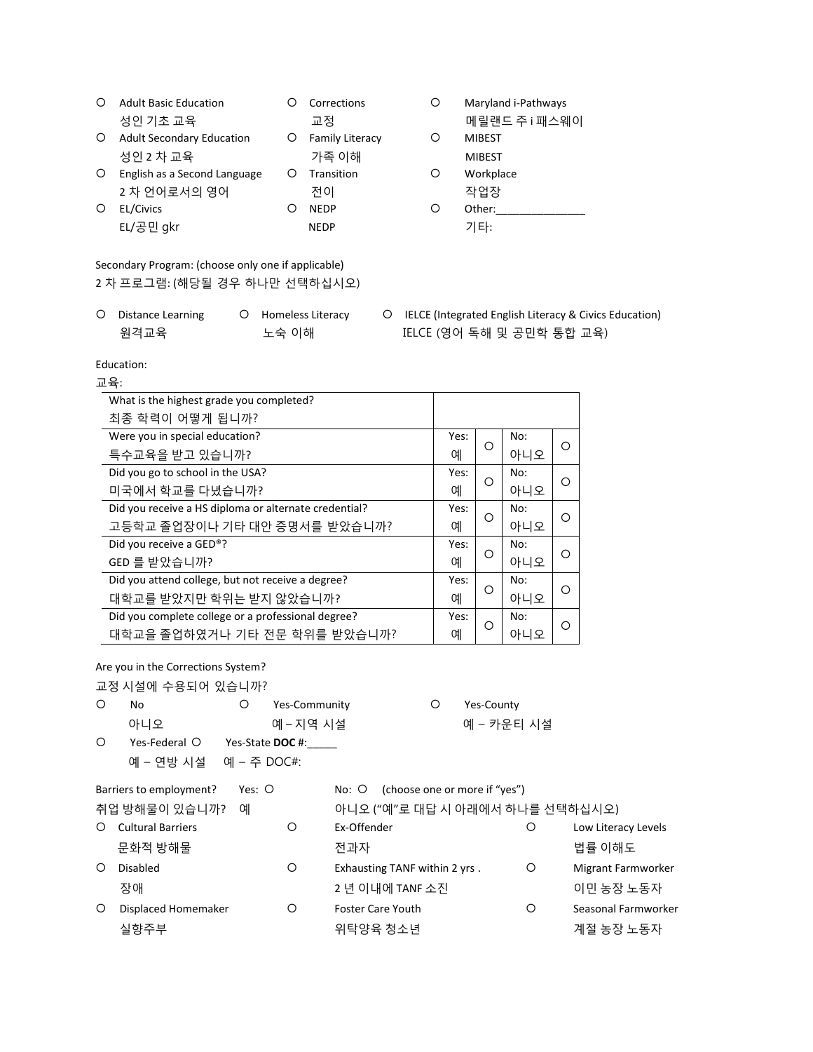| O | <b>Adult Basic Education</b>     |   | Corrections            | O | Maryland i-Pathways |
|---|----------------------------------|---|------------------------|---|---------------------|
|   | 성인 기초 교육                         |   | 교정                     |   | 메릴랜드 주 i 패스웨이       |
| O | <b>Adult Secondary Education</b> | Ő | <b>Family Literacy</b> | Ő | <b>MIBEST</b>       |
|   | 성인 2 차 교육                        |   | 가족 이해                  |   | <b>MIBEST</b>       |
| O | English as a Second Language     | O | Transition             | O | Workplace           |
|   | 2 차 언어로서의 영어                     |   | 전이                     |   | 작업장                 |
| O | <b>EL/Civics</b>                 |   | <b>NFDP</b>            | O | Other:              |

EL/공민 gkr NEDP NEDP 기타:

Secondary Program: (choose only one if applicable) 2 차 프로그램: (해당될 경우 하나만 선택하십시오)

| O Distance Learning | O Homeless Literacy |
|---------------------|---------------------|
| 원격교육                | 노숙 이해               |

Education:

O IELCE (Integrated English Literacy & Civics Education) IELCE (영어 독해 및 공민학 통합 교육)

교육: What is the highest grade you completed? 최종 학력이 어떻게 됩니까? Were you in special education? 특수교육을 받고 있습니까? Yes:  $\begin{bmatrix} 1 & 0 \\ 0 & 0 \end{bmatrix}$ No:  $\frac{100}{100}$  | 0 Did you go to school in the USA? 미국에서 학교를 다녔습니까? Yes:  $\begin{bmatrix} 1 & 1 \\ 0 & 1 \end{bmatrix}$ No: ....<br>아니오 <u>|</u> ㅇ Did you receive a HS diploma or alternate credential? 고등학교 졸업장이나 기타 대안 증명서를 받았습니까? Yes:  $\begin{bmatrix} 1 & 0 \\ 0 & 0 \end{bmatrix}$ No: ....<br>아니오 <u>|</u> ㅇ Did you receive a GED®? GED 를 받았습니까? Yes:  $\frac{1}{\alpha}$  |  $\circ$ No: ....<br>아니오 <u>|</u> ㅇ Did you attend college, but not receive a degree? 대학교를 받았지만 학위는 받지 않았습니까? Yes:  $\frac{1}{\alpha}$  |  $\circ$ No: ....<br>아니오 <u>|</u> 이 Did you complete college or a professional degree? 대학교을 졸업하였거나 기타 전문 학위를 받았습니까? Yes:  $\frac{1}{\alpha}$  |  $\circ$ No: 아니오  $\vert$  이

Are you in the Corrections System?

교정 시설에 수용되어 있습니까? O No  $O$  Yes-Community  $O$  Yes-County 아니오 기대 예 – 지역 시설 예정 예 – 카운티 시설 Yes-Federal Yes-State **DOC** #:\_\_\_\_\_ 예 – 연방 시설 예 – 주 DOC#: Barriers to employment? Yes: O No: O (choose one or more if "yes") 취업 방해물이 있습니까? 예 아니오 ("예"로 대답 시 아래에서 하나를 선택하십시오) O Cultural Barriers **C** Ex-Offender **Eximits C** External Barriers **C** Low Literacy Levels 문화적 방해물 전화 대표 전과자 전과 전 전 전 기능 이해도 있는 것이 없는 것이 없다. O Disabled **Solution C** Exhausting TANF within 2 yrs . C Migrant Farmworker 장애 2 년 이내에 TANF 소진 이민 농장 노동자 Displaced Homemaker Foster Care Youth Seasonal Farmworker 실향주부 기대 기대 대학 이 이 시간이 어느 시간이 되었다. 이 시간에 대해 사용하게 되어 있다.